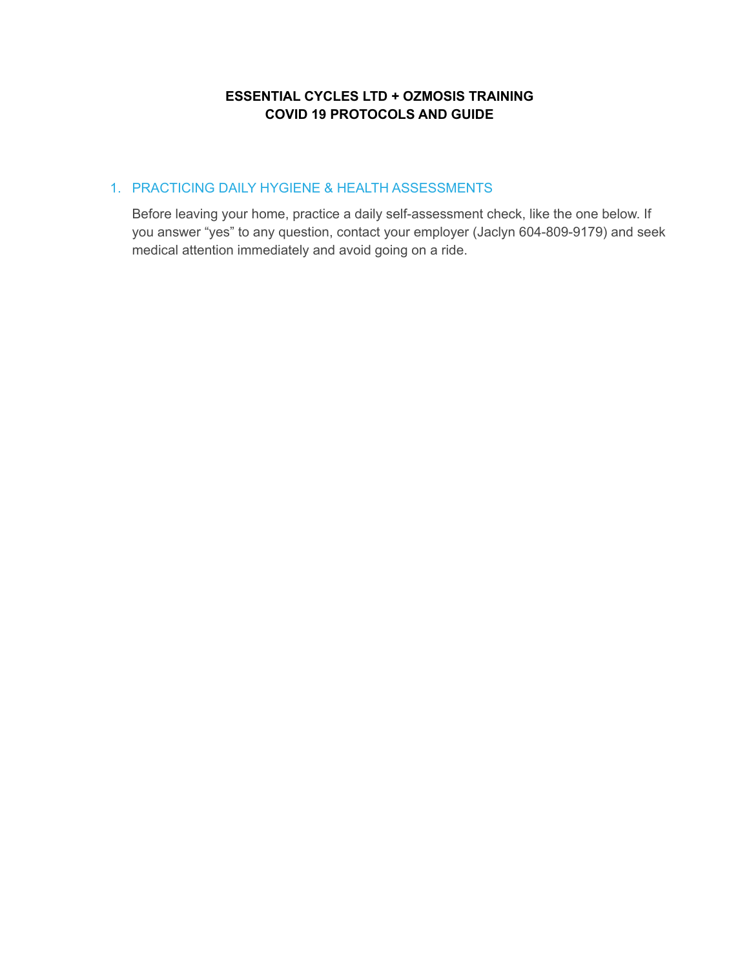# **ESSENTIAL CYCLES LTD + OZMOSIS TRAINING COVID 19 PROTOCOLS AND GUIDE**

# 1. PRACTICING DAILY HYGIENE & HEALTH ASSESSMENTS

Before leaving your home, practice a daily self-assessment check, like the one below. If you answer "yes" to any question, contact your employer (Jaclyn 604-809-9179) and seek medical attention immediately and avoid going on a ride.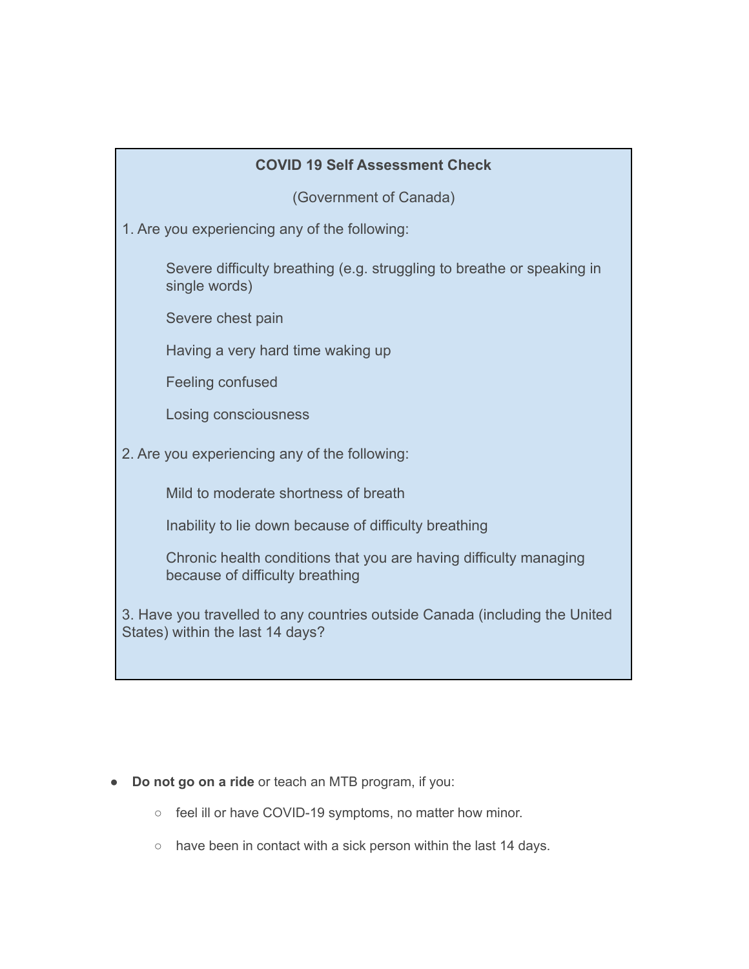# **COVID 19 Self Assessment Check**

(Government of Canada)

1. Are you experiencing any of the following:

Severe difficulty breathing (e.g. struggling to breathe or speaking in single words)

Severe chest pain

Having a very hard time waking up

Feeling confused

Losing consciousness

2. Are you experiencing any of the following:

Mild to moderate shortness of breath

Inability to lie down because of difficulty breathing

Chronic health conditions that you are having difficulty managing because of difficulty breathing

3. Have you travelled to any countries outside Canada (including the United States) within the last 14 days?

- **Do not go on a ride** or teach an MTB program, if you:
	- feel ill or have COVID-19 symptoms, no matter how minor.
	- have been in contact with a sick person within the last 14 days.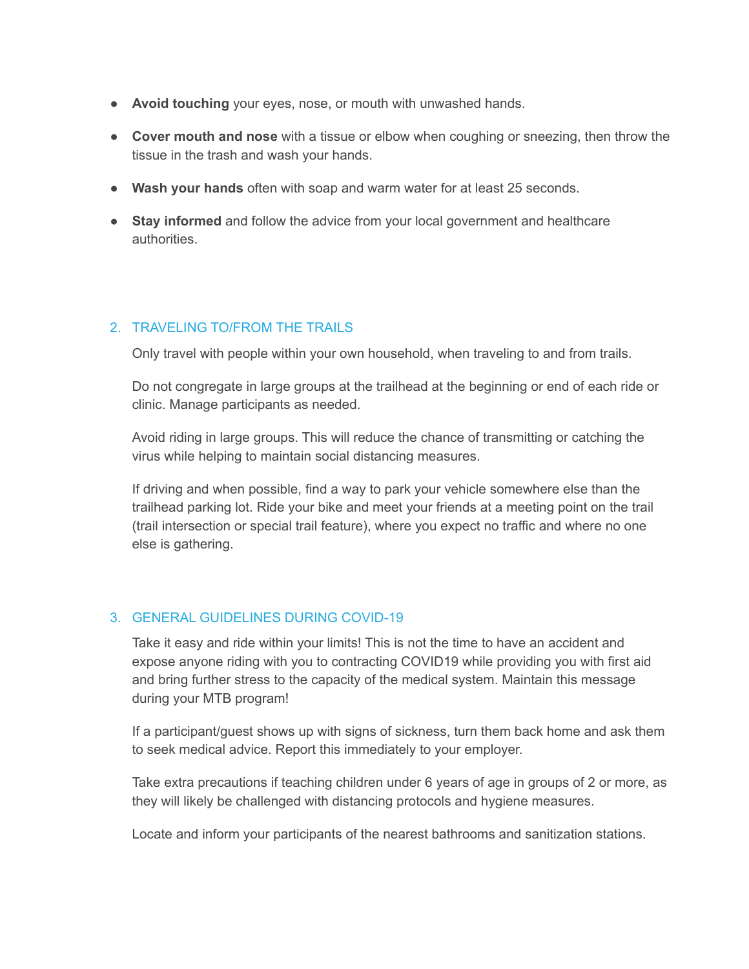- **Avoid touching** your eyes, nose, or mouth with unwashed hands.
- **Cover mouth and nose** with a tissue or elbow when coughing or sneezing, then throw the tissue in the trash and wash your hands.
- **Wash your hands** often with soap and warm water for at least 25 seconds.
- **Stay informed** and follow the advice from your local government and healthcare authorities.

### 2. TRAVELING TO/FROM THE TRAILS

Only travel with people within your own household, when traveling to and from trails.

Do not congregate in large groups at the trailhead at the beginning or end of each ride or clinic. Manage participants as needed.

Avoid riding in large groups. This will reduce the chance of transmitting or catching the virus while helping to maintain social distancing measures.

If driving and when possible, find a way to park your vehicle somewhere else than the trailhead parking lot. Ride your bike and meet your friends at a meeting point on the trail (trail intersection or special trail feature), where you expect no traffic and where no one else is gathering.

## 3. GENERAL GUIDELINES DURING COVID-19

Take it easy and ride within your limits! This is not the time to have an accident and expose anyone riding with you to contracting COVID19 while providing you with first aid and bring further stress to the capacity of the medical system. Maintain this message during your MTB program!

If a participant/guest shows up with signs of sickness, turn them back home and ask them to seek medical advice. Report this immediately to your employer.

Take extra precautions if teaching children under 6 years of age in groups of 2 or more, as they will likely be challenged with distancing protocols and hygiene measures.

Locate and inform your participants of the nearest bathrooms and sanitization stations.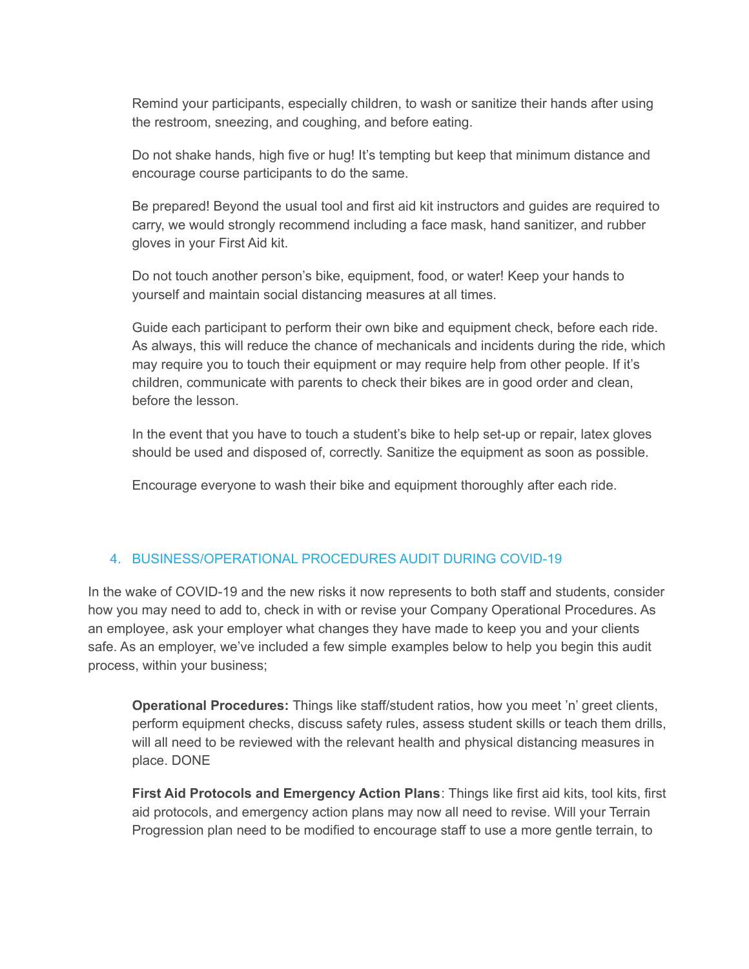Remind your participants, especially children, to wash or sanitize their hands after using the restroom, sneezing, and coughing, and before eating.

Do not shake hands, high five or hug! It's tempting but keep that minimum distance and encourage course participants to do the same.

Be prepared! Beyond the usual tool and first aid kit instructors and guides are required to carry, we would strongly recommend including a face mask, hand sanitizer, and rubber gloves in your First Aid kit.

Do not touch another person's bike, equipment, food, or water! Keep your hands to yourself and maintain social distancing measures at all times.

Guide each participant to perform their own bike and equipment check, before each ride. As always, this will reduce the chance of mechanicals and incidents during the ride, which may require you to touch their equipment or may require help from other people. If it's children, communicate with parents to check their bikes are in good order and clean, before the lesson.

In the event that you have to touch a student's bike to help set-up or repair, latex gloves should be used and disposed of, correctly. Sanitize the equipment as soon as possible.

Encourage everyone to wash their bike and equipment thoroughly after each ride.

## 4. BUSINESS/OPERATIONAL PROCEDURES AUDIT DURING COVID-19

In the wake of COVID-19 and the new risks it now represents to both staff and students, consider how you may need to add to, check in with or revise your Company Operational Procedures. As an employee, ask your employer what changes they have made to keep you and your clients safe. As an employer, we've included a few simple examples below to help you begin this audit process, within your business;

**Operational Procedures:** Things like staff/student ratios, how you meet 'n' greet clients, perform equipment checks, discuss safety rules, assess student skills or teach them drills, will all need to be reviewed with the relevant health and physical distancing measures in place. DONE

**First Aid Protocols and Emergency Action Plans**: Things like first aid kits, tool kits, first aid protocols, and emergency action plans may now all need to revise. Will your Terrain Progression plan need to be modified to encourage staff to use a more gentle terrain, to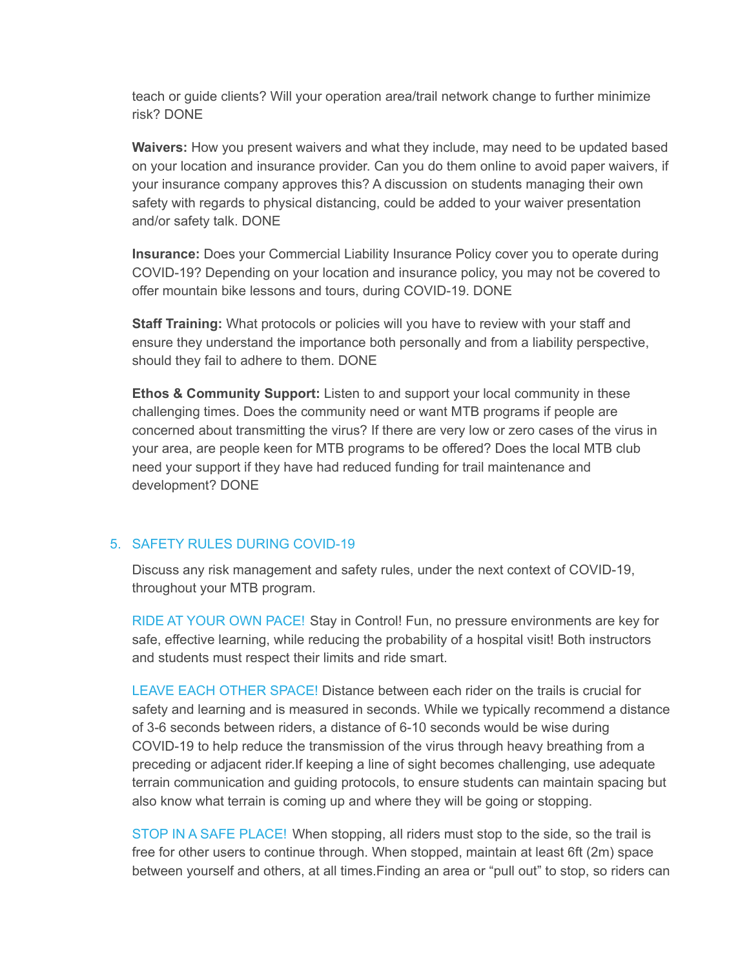teach or guide clients? Will your operation area/trail network change to further minimize risk? DONE

**Waivers:** How you present waivers and what they include, may need to be updated based on your location and insurance provider. Can you do them online to avoid paper waivers, if your insurance company approves this? A discussion on students managing their own safety with regards to physical distancing, could be added to your waiver presentation and/or safety talk. DONE

**Insurance:** Does your Commercial Liability Insurance Policy cover you to operate during COVID-19? Depending on your location and insurance policy, you may not be covered to offer mountain bike lessons and tours, during COVID-19. DONE

**Staff Training:** What protocols or policies will you have to review with your staff and ensure they understand the importance both personally and from a liability perspective, should they fail to adhere to them. DONE

**Ethos & Community Support:** Listen to and support your local community in these challenging times. Does the community need or want MTB programs if people are concerned about transmitting the virus? If there are very low or zero cases of the virus in your area, are people keen for MTB programs to be offered? Does the local MTB club need your support if they have had reduced funding for trail maintenance and development? DONE

#### 5. SAFETY RULES DURING COVID-19

Discuss any risk management and safety rules, under the next context of COVID-19, throughout your MTB program.

RIDE AT YOUR OWN PACE! Stay in Control! Fun, no pressure environments are key for safe, effective learning, while reducing the probability of a hospital visit! Both instructors and students must respect their limits and ride smart.

LEAVE EACH OTHER SPACE! Distance between each rider on the trails is crucial for safety and learning and is measured in seconds. While we typically recommend a distance of 3-6 seconds between riders, a distance of 6-10 seconds would be wise during COVID-19 to help reduce the transmission of the virus through heavy breathing from a preceding or adjacent rider.If keeping a line of sight becomes challenging, use adequate terrain communication and guiding protocols, to ensure students can maintain spacing but also know what terrain is coming up and where they will be going or stopping.

STOP IN A SAFE PLACE! When stopping, all riders must stop to the side, so the trail is free for other users to continue through. When stopped, maintain at least 6ft (2m) space between yourself and others, at all times.Finding an area or "pull out" to stop, so riders can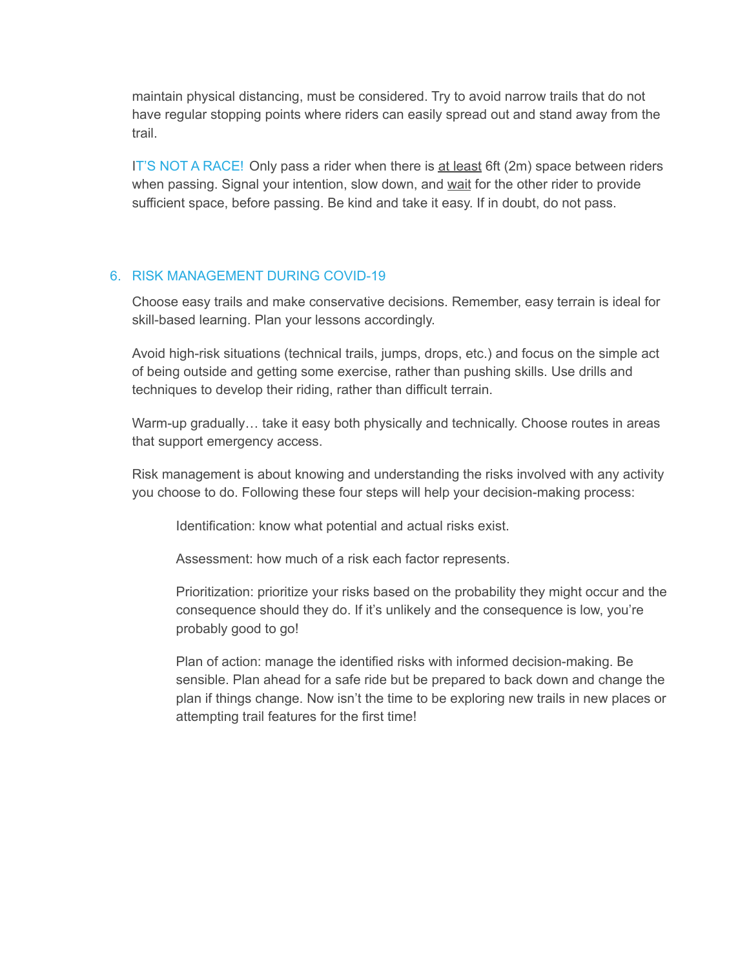maintain physical distancing, must be considered. Try to avoid narrow trails that do not have regular stopping points where riders can easily spread out and stand away from the trail.

IT'S NOT A RACE! Only pass a rider when there is at least 6ft (2m) space between riders when passing. Signal your intention, slow down, and wait for the other rider to provide sufficient space, before passing. Be kind and take it easy. If in doubt, do not pass.

### 6. RISK MANAGEMENT DURING COVID-19

Choose easy trails and make conservative decisions. Remember, easy terrain is ideal for skill-based learning. Plan your lessons accordingly.

Avoid high-risk situations (technical trails, jumps, drops, etc.) and focus on the simple act of being outside and getting some exercise, rather than pushing skills. Use drills and techniques to develop their riding, rather than difficult terrain.

Warm-up gradually… take it easy both physically and technically. Choose routes in areas that support emergency access.

Risk management is about knowing and understanding the risks involved with any activity you choose to do. Following these four steps will help your decision-making process:

Identification: know what potential and actual risks exist.

Assessment: how much of a risk each factor represents.

Prioritization: prioritize your risks based on the probability they might occur and the consequence should they do. If it's unlikely and the consequence is low, you're probably good to go!

Plan of action: manage the identified risks with informed decision-making. Be sensible. Plan ahead for a safe ride but be prepared to back down and change the plan if things change. Now isn't the time to be exploring new trails in new places or attempting trail features for the first time!